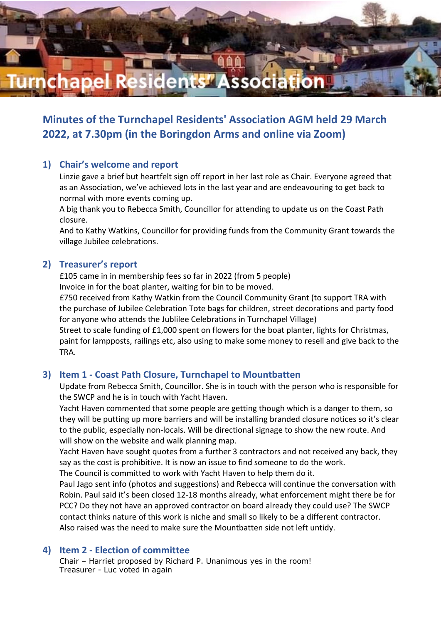

**Minutes of the Turnchapel Residents' Association AGM held 29 March 2022, at 7.30pm (in the Boringdon Arms and online via Zoom)**

## **1) Chair's welcome and report**

Linzie gave a brief but heartfelt sign off report in her last role as Chair. Everyone agreed that as an Association, we've achieved lots in the last year and are endeavouring to get back to normal with more events coming up.

A big thank you to Rebecca Smith, Councillor for attending to update us on the Coast Path closure.

And to Kathy Watkins, Councillor for providing funds from the Community Grant towards the village Jubilee celebrations.

#### **2) Treasurer's report**

£105 came in in membership fees so far in 2022 (from 5 people) Invoice in for the boat planter, waiting for bin to be moved.

£750 received from Kathy Watkin from the Council Community Grant (to support TRA with the purchase of Jubilee Celebration Tote bags for children, street decorations and party food for anyone who attends the Jublilee Celebrations in Turnchapel Village)

Street to scale funding of £1,000 spent on flowers for the boat planter, lights for Christmas, paint for lampposts, railings etc, also using to make some money to resell and give back to the TRA.

#### **3) Item 1 - Coast Path Closure, Turnchapel to Mountbatten**

Update from Rebecca Smith, Councillor. She is in touch with the person who is responsible for the SWCP and he is in touch with Yacht Haven.

Yacht Haven commented that some people are getting though which is a danger to them, so they will be putting up more barriers and will be installing branded closure notices so it's clear to the public, especially non-locals. Will be directional signage to show the new route. And will show on the website and walk planning map.

Yacht Haven have sought quotes from a further 3 contractors and not received any back, they say as the cost is prohibitive. It is now an issue to find someone to do the work.

The Council is committed to work with Yacht Haven to help them do it.

Paul Jago sent info (photos and suggestions) and Rebecca will continue the conversation with Robin. Paul said it's been closed 12-18 months already, what enforcement might there be for PCC? Do they not have an approved contractor on board already they could use? The SWCP contact thinks nature of this work is niche and small so likely to be a different contractor. Also raised was the need to make sure the Mountbatten side not left untidy.

#### **4) Item 2 - Election of committee**

Chair – Harriet proposed by Richard P. Unanimous yes in the room! Treasurer - Luc voted in again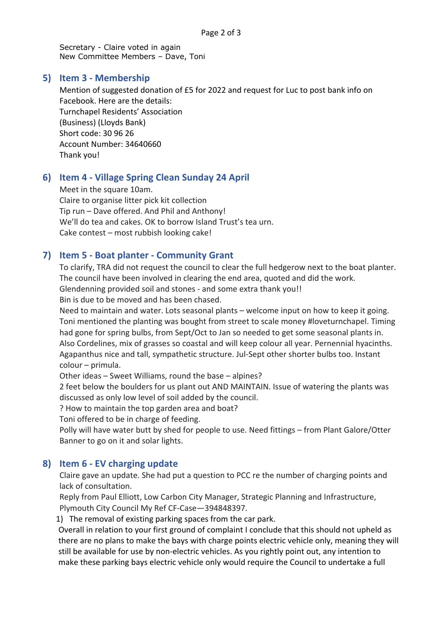Secretary - Claire voted in again New Committee Members – Dave, Toni

### **5) Item 3 - Membership**

Mention of suggested donation of £5 for 2022 and request for Luc to post bank info on Facebook. Here are the details: Turnchapel Residents' Association (Business) (Lloyds Bank) Short code: 30 96 26 Account Number: 34640660 Thank you!

# **6) Item 4 - Village Spring Clean Sunday 24 April**

Meet in the square 10am. Claire to organise litter pick kit collection Tip run – Dave offered. And Phil and Anthony! We'll do tea and cakes. OK to borrow Island Trust's tea urn. Cake contest – most rubbish looking cake!

## **7) Item 5 - Boat planter - Community Grant**

To clarify, TRA did not request the council to clear the full hedgerow next to the boat planter. The council have been involved in clearing the end area, quoted and did the work. Glendenning provided soil and stones - and some extra thank you!! Bin is due to be moved and has been chased.

Need to maintain and water. Lots seasonal plants – welcome input on how to keep it going. Toni mentioned the planting was bought from street to scale money #loveturnchapel. Timing had gone for spring bulbs, from Sept/Oct to Jan so needed to get some seasonal plants in. Also Cordelines, mix of grasses so coastal and will keep colour all year. Pernennial hyacinths. Agapanthus nice and tall, sympathetic structure. Jul-Sept other shorter bulbs too. Instant colour – primula.

Other ideas – Sweet Williams, round the base – alpines?

2 feet below the boulders for us plant out AND MAINTAIN. Issue of watering the plants was discussed as only low level of soil added by the council.

? How to maintain the top garden area and boat?

Toni offered to be in charge of feeding.

Polly will have water butt by shed for people to use. Need fittings – from Plant Galore/Otter Banner to go on it and solar lights.

## **8) Item 6 - EV charging update**

Claire gave an update. She had put a question to PCC re the number of charging points and lack of consultation.

Reply from Paul Elliott, Low Carbon City Manager, Strategic Planning and Infrastructure, Plymouth City Council My Ref CF-Case—394848397.

1) The removal of existing parking spaces from the car park.

Overall in relation to your first ground of complaint I conclude that this should not upheld as there are no plans to make the bays with charge points electric vehicle only, meaning they will still be available for use by non-electric vehicles. As you rightly point out, any intention to make these parking bays electric vehicle only would require the Council to undertake a full